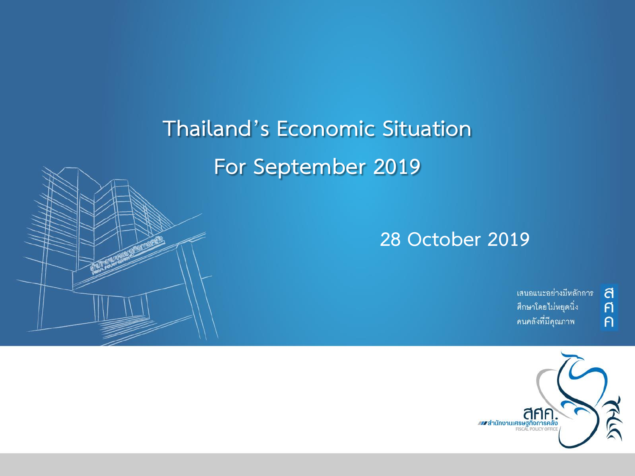# **Thailand's Economic Situation For September 2019**



เสนอแนะอย่างมีหลักการ ศึกษาโดยไม่หยุดนิ่ง คนคลังที่มีคุณภาพ

a  $\overline{p}$ 

 $\overline{P}$ 

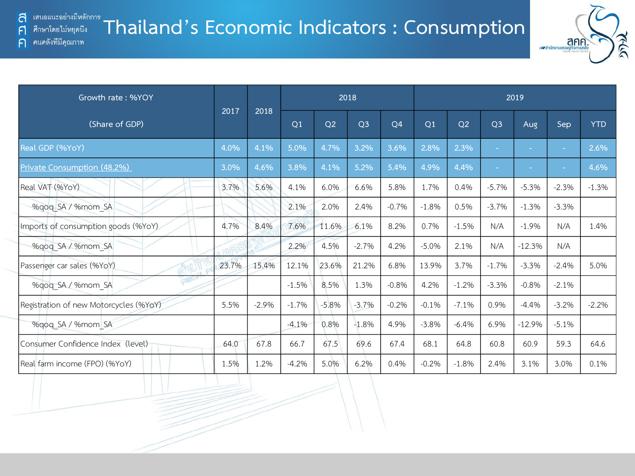F

 $\bigcap$ 

#### **Thailand's Economic Indicators : Consumption** ศึกษาโดยไม่หยุดนี้ง ิคนคลังที่มีคุณภาพ



| Growth rate: %YOY                      |       | 2018    | 2018           |                |                |                |                |                | 2019           |                          |         |            |  |  |  |
|----------------------------------------|-------|---------|----------------|----------------|----------------|----------------|----------------|----------------|----------------|--------------------------|---------|------------|--|--|--|
| (Share of GDP)                         | 2017  |         | O <sub>1</sub> | Q <sub>2</sub> | Q <sub>3</sub> | Q <sub>4</sub> | Q <sub>1</sub> | Q <sub>2</sub> | Q <sub>3</sub> | Aug                      | Sep     | <b>YTD</b> |  |  |  |
| Real GDP (%YoY)                        | 4.0%  | 4.1%    | 5.0%           | 4.7%           | 3.2%           | 3.6%           | 2.8%           | 2.3%           | ÷              | $\overline{\phantom{a}}$ | ÷,      | 2.6%       |  |  |  |
| Private Consumption (48.2%)            | 3.0%  | 4.6%    | 3.8%           | 4.1%           | 5.2%           | 5.4%           | 4.9%           | 4.4%           | ÷.             | ÷.                       | $\sim$  | 4.6%       |  |  |  |
| Real VAT (%YoY)                        | 3.7%  | 5.6%    | 4.1%           | 6.0%           | 6.6%           | 5.8%           | 1.7%           | 0.4%           | $-5.7%$        | $-5.3%$                  | $-2.3%$ | $-1.3%$    |  |  |  |
| %qoq SA / %mom SA                      |       |         | 2.1%           | 2.0%           | 2.4%           | $-0.7%$        | $-1.8%$        | 0.5%           | $-3.7%$        | $-1.3%$                  | $-3.3%$ |            |  |  |  |
| Imports of consumption goods (%YoY)    | 4.7%  | 8.4%    | 7.6%           | 11.6%          | 6.1%           | 8.2%           | 0.7%           | $-1.5%$        | N/A            | $-1.9%$                  | N/A     | 1.4%       |  |  |  |
| %qoq_SA / %mom_SA                      |       |         | 2.2%           | 4.5%           | $-2.7%$        | 4.2%           | $-5.0%$        | 2.1%           | N/A            | $-12.3%$                 | N/A     |            |  |  |  |
| Passenger car sales (%YoY)             | 23.7% | 15.4%   | 12.1%          | 23.6%          | 21.2%          | 6.8%           | 13.9%          | 3.7%           | $-1.7%$        | $-3.3%$                  | $-2.4%$ | 5.0%       |  |  |  |
| %gog SA / %mom SA                      |       |         | $-1.5%$        | 8.5%           | 1.3%           | $-0.8%$        | 4.2%           | $-1.2%$        | $-3.3%$        | $-0.8%$                  | $-2.1%$ |            |  |  |  |
| Registration of new Motorcycles (%YoY) | 5.5%  | $-2.9%$ | $-1.7%$        | $-5.8%$        | $-3.7%$        | $-0.2%$        | $-0.1%$        | $-7.1%$        | 0.9%           | $-4.4%$                  | $-3.2%$ | $-2.2%$    |  |  |  |
| %gog SA / %mom SA                      |       |         | $-4.1%$        | 0.8%           | $-1.8%$        | 4.9%           | $-3.8%$        | $-6.4%$        | 6.9%           | $-12.9%$                 | $-5.1%$ |            |  |  |  |
| Consumer Confidence Index (level)      | 64.0  | 67.8    | 66.7           | 67.5           | 69.6           | 67.4           | 68.1           | 64.8           | 60.8           | 60.9                     | 59.3    | 64.6       |  |  |  |
| Real farm income (FPO) (%YoY)          | 1.5%  | 1.2%    | $-4.2%$        | 5.0%           | 6.2%           | 0.4%           | $-0.2%$        | $-1.8%$        | 2.4%           | 3.1%                     | 3.0%    | 0.1%       |  |  |  |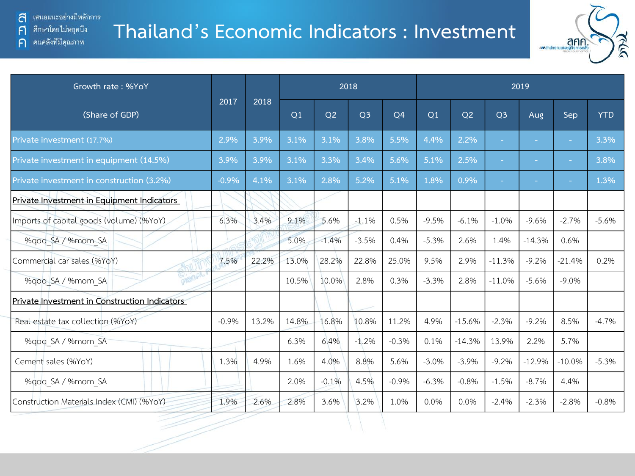ิคนคลังที่มีคุณภาพ

 $\mathsf{F}$ 

 $\bigcap$ 

#### **Thailand's Economic Indicators : Investment**



| Growth rate: %YoY                             |         | 2018  |       |                |                |                | 2019    |          |                |            |          |            |  |
|-----------------------------------------------|---------|-------|-------|----------------|----------------|----------------|---------|----------|----------------|------------|----------|------------|--|
| (Share of GDP)                                | 2017    | 2018  | Q1    | Q <sub>2</sub> | Q <sub>3</sub> | Q <sub>4</sub> | Q1      | Q2       | Q <sub>3</sub> | <b>Aug</b> | Sep      | <b>YTD</b> |  |
| Private investment (17.7%)                    | 2.9%    | 3.9%  | 3.1%  | 3.1%           | 3.8%           | 5.5%           | 4.4%    | 2.2%     | $\sim$         |            | ÷.       | 3.3%       |  |
| Private investment in equipment (14.5%)       | 3.9%    | 3.9%  | 3.1%  | 3.3%           | 3.4%           | 5.6%           | 5.1%    | 2.5%     | $\sim$         | $\sim$     | $\sim$   | 3.8%       |  |
| Private investment in construction (3.2%)     | $-0.9%$ | 4.1%  | 3.1%  | 2.8%           | 5.2%           | 5.1%           | 1.8%    | 0.9%     | ٠              |            | ٠        | 1.3%       |  |
| Private Investment in Equipment Indicators    |         |       |       |                |                |                |         |          |                |            |          |            |  |
| Imports of capital goods (volume) (%YoY)      | 6.3%    | 3.4%  | 9.1%  | 5.6%           | $-1.1%$        | 0.5%           | $-9.5%$ | $-6.1%$  | $-1.0%$        | $-9.6%$    | $-2.7%$  | $-5.6%$    |  |
| %qoq SA / %mom SA                             |         |       | 5.0%  | $-1.4%$        | $-3.5%$        | 0.4%           | $-5.3%$ | 2.6%     | 1.4%           | $-14.3%$   | 0.6%     |            |  |
| Commercial car sales (%YoY)                   | 7.5%    | 22.2% | 13.0% | 28.2%          | 22.8%          | 25.0%          | 9.5%    | 2.9%     | $-11.3%$       | $-9.2%$    | $-21.4%$ | 0.2%       |  |
| GV<br>6F<br>%gog SA / %mom SA                 |         |       | 10.5% | 10.0%          | 2.8%           | 0.3%           | $-3.3%$ | 2.8%     | $-11.0%$       | $-5.6%$    | $-9.0\%$ |            |  |
| Private Investment in Construction Indicators |         |       |       |                |                |                |         |          |                |            |          |            |  |
| Real estate tax collection (%YoY)             | $-0.9%$ | 13.2% | 14.8% | 16.8%          | 10.8%          | 11.2%          | 4.9%    | $-15.6%$ | $-2.3%$        | $-9.2%$    | 8.5%     | $-4.7%$    |  |
| %gog SA / %mom SA                             |         |       | 6.3%  | 6.4%           | $-1.2%$        | $-0.3%$        | 0.1%    | $-14.3%$ | 13.9%          | 2.2%       | 5.7%     |            |  |
| Cement sales (%YoY)                           | 1.3%    | 4.9%  | 1.6%  | 4.0%           | 8.8%           | 5.6%           | $-3.0%$ | $-3.9%$  | $-9.2%$        | $-12.9%$   | $-10.0%$ | $-5.3%$    |  |
| %gog SA / %mom SA                             |         |       | 2.0%  | $-0.1%$        | 4.5%           | $-0.9%$        | $-6.3%$ | $-0.8%$  | $-1.5%$        | $-8.7%$    | 4.4%     |            |  |
| Construction Materials Index (CMI) (%YoY)     | 1.9%    | 2.6%  | 2.8%  | 3.6%           | 3.2%           | 1.0%           | 0.0%    | 0.0%     | $-2.4%$        | $-2.3%$    | $-2.8%$  | $-0.8%$    |  |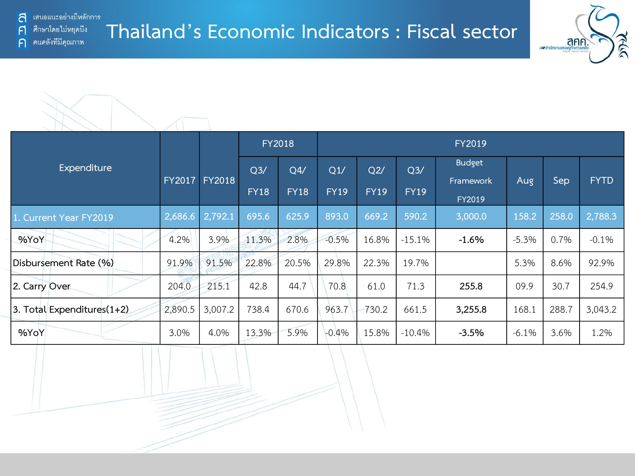้ เสนอแนะอย่างมีหลักการ a ศึกษาโดยไม่หยุดนี้ง

คนคลังที่มีคุณภาพ

F

 $\bigcap$ 

**Thailand's Economic Indicators : Fiscal sector**





|                            |               | <b>FY2018</b> |                               |                    |                    | <b>FY2019</b>      |                               |                                      |         |         |             |  |  |  |  |
|----------------------------|---------------|---------------|-------------------------------|--------------------|--------------------|--------------------|-------------------------------|--------------------------------------|---------|---------|-------------|--|--|--|--|
| Expenditure                | <b>FY2017</b> | <b>FY2018</b> | Q <sub>3</sub><br><b>FY18</b> | Q4/<br><b>FY18</b> | Q1/<br><b>FY19</b> | Q2/<br><b>FY19</b> | Q <sub>3</sub><br><b>FY19</b> | <b>Budget</b><br>Framework<br>FY2019 | Aug     | Sep     | <b>FYTD</b> |  |  |  |  |
| 1. Current Year FY2019     | 2,686.6       | 2,792.1       | 695.6                         | 625.9              | 893.0              | 669.2              | 590.2                         | 3,000.0                              | 158.2   | 258.0   | 2,788.3     |  |  |  |  |
| %YoY                       | 4.2%          | 3.9%          | 11.3%                         | 2.8%               | $-0.5%$            | 16.8%              | $-15.1%$                      | $-1.6%$                              | $-5.3%$ | $0.7\%$ | $-0.1%$     |  |  |  |  |
| Disbursement Rate (%)      | 91.9%         | 91.5%         | 22.8%                         | 20.5%              | 29.8%              | 22.3%              | 19.7%                         |                                      | 5.3%    | 8.6%    | 92.9%       |  |  |  |  |
| 2. Carry Over              | 204.0         | 215.1         | 42.8                          | 44.7               | 70.8               | 61.0               | 71.3                          | 255.8                                | 09.9    | 30.7    | 254.9       |  |  |  |  |
| 3. Total Expenditures(1+2) | 2,890.5       | 3,007.2       | 738.4                         | 670.6              | 963.7              | 730.2              | 661.5                         | 3,255.8                              | 168.1   | 288.7   | 3,043.2     |  |  |  |  |
| %YoY                       | 3.0%          | 4.0%          | 13.3%                         | 5.9%               | $-0.4%$            | 15.8%              | $-10.4%$                      | $-3.5%$                              | $-6.1%$ | 3.6%    | 1.2%        |  |  |  |  |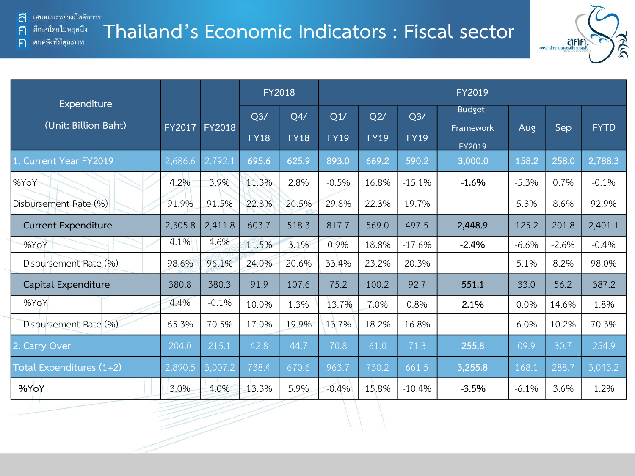คนคลังที่มีคุณภาพ

F

 $\bigcap$ 

### **Thailand's Economic Indicators : Fiscal sector**



|                                     |               |               |                | <b>FY2018</b> | FY2019      |             |             |                            |         |         |             |  |  |
|-------------------------------------|---------------|---------------|----------------|---------------|-------------|-------------|-------------|----------------------------|---------|---------|-------------|--|--|
| Expenditure<br>(Unit: Billion Baht) | <b>FY2017</b> | <b>FY2018</b> | Q <sub>3</sub> | Q4/           | Q1/         | Q2/         | Q3/         | <b>Budget</b><br>Framework | Aug     | Sep     | <b>FYTD</b> |  |  |
|                                     |               |               | <b>FY18</b>    | <b>FY18</b>   | <b>FY19</b> | <b>FY19</b> | <b>FY19</b> | FY2019                     |         |         |             |  |  |
| 1. Current Year FY2019              | 2,686.6       | 2,792.1       | 695.6          | 625.9         | 893.0       | 669.2       | 590.2       | 3,000.0                    | 158.2   | 258.0   | 2,788.3     |  |  |
| %YoY                                | 4.2%          | 3.9%          | 11.3%          | 2.8%          | $-0.5%$     | 16.8%       | $-15.1%$    | $-1.6%$                    | $-5.3%$ | 0.7%    | $-0.1%$     |  |  |
| Disbursement Rate (%)               | 91.9%         | 91.5%         | 22.8%          | 20.5%         | 29.8%       | 22.3%       | 19.7%       |                            | 5.3%    | 8.6%    | 92.9%       |  |  |
| <b>Current Expenditure</b>          | 2,305.8       | 2,411.8       | 603.7          | 518.3         | 817.7       | 569.0       | 497.5       | 2,448.9                    | 125.2   | 201.8   | 2,401.1     |  |  |
| %YoY                                | 4.1%          | 4.6%          | 11.5%          | 3.1%          | 0.9%        | 18.8%       | $-17.6%$    | $-2.4%$                    | $-6.6%$ | $-2.6%$ | $-0.4%$     |  |  |
| Disbursement Rate (%)               | 98.6%         | 96.1%         | 24.0%          | 20.6%         | 33.4%       | 23.2%       | 20.3%       |                            | 5.1%    | 8.2%    | 98.0%       |  |  |
| Capital Expenditure                 | 380.8         | 380.3         | 91.9           | 107.6         | 75.2        | 100.2       | 92.7        | 551.1                      | 33.0    | 56.2    | 387.2       |  |  |
| %YoY                                | 4.4%          | $-0.1%$       | 10.0%          | 1.3%          | $-13.7%$    | 7.0%        | 0.8%        | 2.1%                       | 0.0%    | 14.6%   | 1.8%        |  |  |
| Disbursement Rate (%)               | 65.3%         | 70.5%         | 17.0%          | 19.9%         | 13.7%       | 18.2%       | 16.8%       |                            | 6.0%    | 10.2%   | 70.3%       |  |  |
| 2. Carry Over                       | 204.0         | 215.1         | 42.8           | 44.7          | 70.8        | 61.0        | 71.3        | 255.8                      | 09.9    | 30.7    | 254.9       |  |  |
| Total Expenditures (1+2)            | 2,890.5       | 3,007.2       | 738.4          | 670.6         | 963.7       | 730.2       | 661.5       | 3,255.8                    | 168.1   | 288.7   | 3,043.2     |  |  |
| %YoY                                | 3.0%          | 4.0%          | 13.3%          | 5.9%          | $-0.4%$     | 15.8%       | $-10.4%$    | $-3.5%$                    | $-6.1%$ | 3.6%    | 1.2%        |  |  |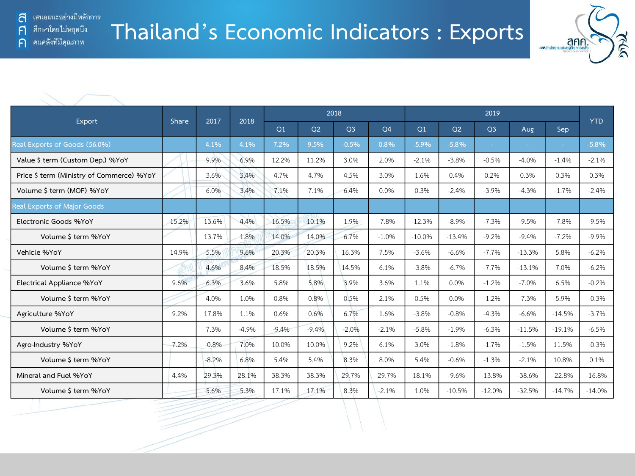คนคลังที่มีคุณภาพ

F

 $\bigcap$ 



|                                           |       |         |         |                |         | 2018           |                |          |                |                |          |          |            |
|-------------------------------------------|-------|---------|---------|----------------|---------|----------------|----------------|----------|----------------|----------------|----------|----------|------------|
| Export                                    | Share | 2017    | 2018    | O <sub>1</sub> | Q2      | Q <sub>3</sub> | Q <sub>4</sub> | Q1       | O <sub>2</sub> | Q <sub>3</sub> | Aug      | Sep      | <b>YTD</b> |
| Real Exports of Goods (56.0%)             |       | 4.1%    | 4.1%    | 7.2%           | 9.5%    | $-0.5%$        | 0.8%           | $-5.9%$  | $-5.8%$        | $\sim$         | ٠        | $\sim$   | $-5.8%$    |
| Value \$ term (Custom Dep.) %YoY          |       | 9.9%    | 6.9%    | 12.2%          | 11.2%   | 3.0%           | 2.0%           | $-2.1%$  | $-3.8%$        | $-0.5%$        | $-4.0%$  | $-1.4%$  | $-2.1%$    |
| Price \$ term (Ministry of Commerce) %YoY |       | 3.6%    | 3.4%    | 4.7%           | 4.7%    | 4.5%           | 3.0%           | 1.6%     | 0.4%           | 0.2%           | 0.3%     | 0.3%     | 0.3%       |
| Volume \$ term (MOF) %YoY                 |       | 6.0%    | 3.4%    | 7.1%           | 7.1%    | 6.4%           | 0.0%           | 0.3%     | $-2.4%$        | $-3.9%$        | $-4.3%$  | $-1.7%$  | $-2.4%$    |
| Real Exports of Major Goods               |       |         |         |                |         |                |                |          |                |                |          |          |            |
| Electronic Goods %YoY                     | 15.2% | 13.6%   | 4.4%    | 16.5%          | 10.1%   | 1.9%           | $-7.8%$        | $-12.3%$ | $-8.9%$        | $-7.3%$        | $-9.5%$  | $-7.8%$  | $-9.5%$    |
| Volume \$ term %YoY                       |       | 13.7%   | 1.8%    | 14.0%          | 14.0%   | 6.7%           | $-1.0%$        | $-10.0%$ | $-13.4%$       | $-9.2%$        | $-9.4%$  | $-7.2%$  | $-9.9%$    |
| Vehicle %YoY                              | 14.9% | 5.5%    | 9.6%    | 20.3%          | 20.3%   | 16.3%          | 7.5%           | $-3.6%$  | $-6.6%$        | $-7.7%$        | $-13.3%$ | 5.8%     | $-6.2%$    |
| Volume \$ term %YoY                       |       | 4.6%    | 8.4%    | 18.5%          | 18.5%   | 14.5%          | 6.1%           | $-3.8%$  | $-6.7%$        | $-7.7%$        | $-13.1%$ | 7.0%     | $-6.2%$    |
| Electrical Appliance %YoY                 | 9.6%  | 6.3%    | 3.6%    | 5.8%           | 5.8%    | 3.9%           | 3.6%           | 1.1%     | 0.0%           | $-1.2%$        | $-7.0%$  | 6.5%     | $-0.2%$    |
| Volume \$ term %YoY                       |       | 4.0%    | 1.0%    | 0.8%           | 0.8%    | 0.5%           | 2.1%           | 0.5%     | 0.0%           | $-1.2%$        | $-7.3%$  | 5.9%     | $-0.3%$    |
| Agriculture %YoY                          | 9.2%  | 17.8%   | 1.1%    | 0.6%           | 0.6%    | 6.7%           | 1.6%           | $-3.8%$  | $-0.8%$        | $-4.3%$        | $-6.6%$  | $-14.5%$ | $-3.7%$    |
| Volume \$ term %YoY                       |       | 7.3%    | $-4.9%$ | $-9.4%$        | $-9.4%$ | $-2.0%$        | $-2.1%$        | $-5.8%$  | $-1.9%$        | $-6.3%$        | $-11.5%$ | $-19.1%$ | $-6.5%$    |
| Agro-Industry %YoY                        | 7.2%  | $-0.8%$ | 7.0%    | 10.0%          | 10.0%   | 9.2%           | 6.1%           | 3.0%     | $-1.8%$        | $-1.7%$        | $-1.5%$  | 11.5%    | $-0.3%$    |
| Volume \$ term %YoY                       |       | $-8.2%$ | 6.8%    | 5.4%           | 5.4%    | 8.3%           | 8.0%           | 5.4%     | $-0.6%$        | $-1.3%$        | $-2.1%$  | 10.8%    | 0.1%       |
| Mineral and Fuel %YoY                     | 4.4%  | 29.3%   | 28.1%   | 38.3%          | 38.3%   | 29.7%          | 29.7%          | 18.1%    | $-9.6%$        | $-13.8%$       | $-38.6%$ | $-22.8%$ | $-16.8%$   |
| Volume \$ term %YoY                       |       | 5.6%    | 5.3%    | 17.1%          | 17.1%   | 8.3%           | $-2.1%$        | 1.0%     | $-10.5%$       | $-12.0%$       | $-32.5%$ | $-14.7%$ | $-14.0%$   |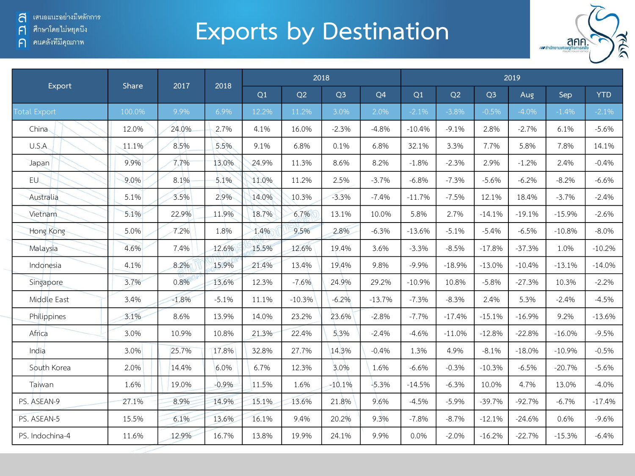้ เสนอแนะอย่างมีหลักการ ส

์ ศึกษาโดยไม่หยุดนี<sub>้</sub>ง  $\mathsf{F}$ 

ค คนคลังที่มีคุณภาพ

## **Exports by Destination**



| Export              | Share  | 2017    | 2018    |       |          | 2018           |                |          |          |                | 2019     | Sep<br>$-1.4%$<br>6.1%<br>7.8%<br>2.4%<br>$-8.2%$<br>$-3.7%$<br>$-15.9%$<br>$-10.8%$<br>1.0%<br>$-13.1%$<br>10.3%<br>$-2.4%$<br>9.2%<br>$-16.0%$<br>$-10.9%$<br>$-20.7%$<br>13.0%<br>$-6.7\%$<br>0.6% |            |  |  |  |  |
|---------------------|--------|---------|---------|-------|----------|----------------|----------------|----------|----------|----------------|----------|-------------------------------------------------------------------------------------------------------------------------------------------------------------------------------------------------------|------------|--|--|--|--|
|                     |        |         |         | Q1    | Q2       | Q <sub>3</sub> | Q <sub>4</sub> | Q1       | Q2       | Q <sub>3</sub> | Aug      |                                                                                                                                                                                                       | <b>YTD</b> |  |  |  |  |
| <b>Total Export</b> | 100.0% | 9.9%    | 6.9%    | 12.2% | 11.2%    | 3.0%           | 2.0%           | $-2.1%$  | $-3.8%$  | $-0.5%$        | $-4.0%$  |                                                                                                                                                                                                       | $-2.1%$    |  |  |  |  |
| China               | 12.0%  | 24.0%   | 2.7%    | 4.1%  | 16.0%    | $-2.3%$        | $-4.8%$        | $-10.4%$ | $-9.1%$  | 2.8%           | $-2.7%$  |                                                                                                                                                                                                       | $-5.6%$    |  |  |  |  |
| U.S.A               | 11.1%  | 8.5%    | 5.5%    | 9.1%  | 6.8%     | 0.1%           | 6.8%           | 32.1%    | 3.3%     | 7.7%           | 5.8%     |                                                                                                                                                                                                       | 14.1%      |  |  |  |  |
| Japan               | 9.9%   | 7.7%    | 13.0%   | 24.9% | 11.3%    | 8.6%           | 8.2%           | $-1.8%$  | $-2.3%$  | 2.9%           | $-1.2%$  |                                                                                                                                                                                                       | $-0.4%$    |  |  |  |  |
| EU.                 | 9.0%   | 8.1%    | 5.1%    | 11.0% | 11.2%    | 2.5%           | $-3.7%$        | $-6.8%$  | $-7.3%$  | $-5.6%$        | $-6.2%$  |                                                                                                                                                                                                       | $-6.6%$    |  |  |  |  |
| Australia           | 5.1%   | 3.5%    | 2.9%    | 14.0% | 10.3%    | $-3.3%$        | $-7.4%$        | $-11.7%$ | $-7.5%$  | 12.1%          | 18.4%    |                                                                                                                                                                                                       | $-2.4%$    |  |  |  |  |
| Vietnam             | 5.1%   | 22.9%   | 11.9%   | 18.7% | 6.7%     | 13.1%          | 10.0%          | 5.8%     | 2.7%     | $-14.1%$       | $-19.1%$ |                                                                                                                                                                                                       | $-2.6%$    |  |  |  |  |
| Hong Kong           | 5.0%   | 7.2%    | 1.8%    | 1.4%  | 9.5%     | 2.8%           | $-6.3%$        | $-13.6%$ | $-5.1%$  | $-5.4%$        | $-6.5%$  |                                                                                                                                                                                                       | $-8.0\%$   |  |  |  |  |
| Malaysia            | 4.6%   | 7.4%    | 12.6%   | 15.5% | 12.6%    | 19.4%          | 3.6%           | $-3.3%$  | $-8.5%$  | $-17.8%$       | $-37.3%$ |                                                                                                                                                                                                       | $-10.2%$   |  |  |  |  |
| Indonesia           | 4.1%   | 8.2%    | 15.9%   | 21.4% | 13.4%    | 19.4%          | 9.8%           | $-9.9%$  | $-18.9%$ | $-13.0%$       | $-10.4%$ |                                                                                                                                                                                                       | $-14.0%$   |  |  |  |  |
| Singapore           | 3.7%   | 0.8%    | 13.6%   | 12.3% | $-7.6%$  | 24.9%          | 29.2%          | $-10.9%$ | 10.8%    | $-5.8%$        | $-27.3%$ |                                                                                                                                                                                                       | $-2.2%$    |  |  |  |  |
| Middle East         | 3.4%   | $-1.8%$ | $-5.1%$ | 11.1% | $-10.3%$ | $-6.2%$        | $-13.7%$       | $-7.3%$  | $-8.3%$  | 2.4%           | 5.3%     |                                                                                                                                                                                                       | $-4.5%$    |  |  |  |  |
| Philippines         | 3.1%   | 8.6%    | 13.9%   | 14.0% | 23.2%    | 23.6%          | $-2.8%$        | $-7.7%$  | $-17.4%$ | $-15.1%$       | $-16.9%$ |                                                                                                                                                                                                       | $-13.6%$   |  |  |  |  |
| Africa              | 3.0%   | 10.9%   | 10.8%   | 21.3% | 22.4%    | 5.3%           | $-2.4%$        | $-4.6%$  | $-11.0%$ | $-12.8%$       | $-22.8%$ |                                                                                                                                                                                                       | $-9.5%$    |  |  |  |  |
| India               | 3.0%   | 25.7%   | 17.8%   | 32.8% | 27.7%    | 14.3%          | $-0.4%$        | 1.3%     | 4.9%     | $-8.1%$        | $-18.0%$ |                                                                                                                                                                                                       | $-0.5%$    |  |  |  |  |
| South Korea         | 2.0%   | 14.4%   | 6.0%    | 6.7%  | 12.3%    | 3.0%           | 1.6%           | $-6.6%$  | $-0.3%$  | $-10.3%$       | $-6.5%$  |                                                                                                                                                                                                       | $-5.6%$    |  |  |  |  |
| Taiwan              | 1.6%   | 19.0%   | $-0.9%$ | 11.5% | 1.6%     | $-10.1%$       | $-5.3%$        | $-14.5%$ | $-6.3%$  | 10.0%          | 4.7%     |                                                                                                                                                                                                       | $-4.0%$    |  |  |  |  |
| PS. ASEAN-9         | 27.1%  | 8.9%    | 14.9%   | 15.1% | 13.6%    | 21.8%          | 9.6%           | $-4.5%$  | $-5.9%$  | $-39.7%$       | $-92.7%$ |                                                                                                                                                                                                       | $-17.4%$   |  |  |  |  |
| PS. ASEAN-5         | 15.5%  | 6.1%    | 13.6%   | 16.1% | 9.4%     | 20.2%          | 9.3%           | $-7.8%$  | $-8.7%$  | $-12.1%$       | $-24.6%$ |                                                                                                                                                                                                       | $-9.6%$    |  |  |  |  |
| PS. Indochina-4     | 11.6%  | 12.9%   | 16.7%   | 13.8% | 19.9%    | 24.1%          | 9.9%           | 0.0%     | $-2.0%$  | $-16.2%$       | $-22.7%$ | $-15.3%$                                                                                                                                                                                              | $-6.4%$    |  |  |  |  |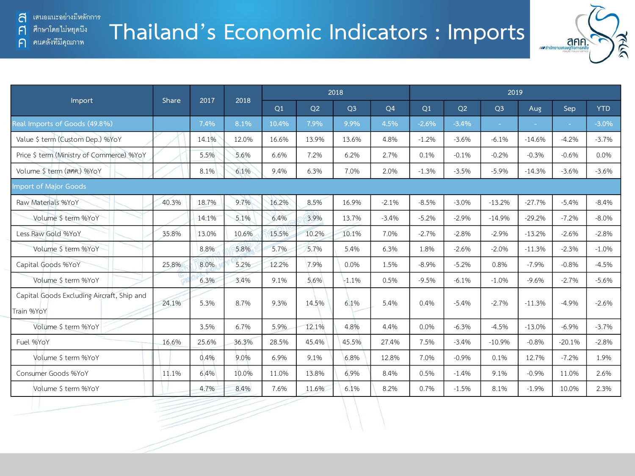คนคลังที่มีคุณภาพ

F

 $\bigcap$ 

## **Thailand's Economic Indicators : Imports**



|                                                          | Share | 2017  | 2018  |       |                | 2018           |         | 2019    |         |                |          |          |            |
|----------------------------------------------------------|-------|-------|-------|-------|----------------|----------------|---------|---------|---------|----------------|----------|----------|------------|
| Import                                                   |       |       |       | Q1    | O <sub>2</sub> | Q <sub>3</sub> | Q4      | Q1      | Q2      | Q <sub>3</sub> | Aug      | Sep      | <b>YTD</b> |
| Real Imports of Goods (49.8%)                            |       | 7.4%  | 8.1%  | 10.4% | 7.9%           | 9.9%           | 4.5%    | $-2.6%$ | $-3.4%$ | $\sim$ .       |          | ÷.       | $-3.0%$    |
| Value \$ term (Custom Dep.) %YoY                         |       | 14.1% | 12.0% | 16.6% | 13.9%          | 13.6%          | 4.8%    | $-1.2%$ | $-3.6%$ | $-6.1%$        | $-14.6%$ | $-4.2%$  | $-3.7%$    |
| Price \$ term (Ministry of Commerce) %YoY                |       | 5.5%  | 5.6%  | 6.6%  | 7.2%           | 6.2%           | 2.7%    | 0.1%    | $-0.1%$ | $-0.2%$        | $-0.3%$  | $-0.6%$  | 0.0%       |
| Volume \$ term (ann.) %YoY                               |       | 8.1%  | 6.1%  | 9.4%  | 6.3%           | 7.0%           | 2.0%    | $-1.3%$ | $-3.5%$ | $-5.9%$        | $-14.3%$ | $-3.6%$  | $-3.6%$    |
| <b>Import of Major Goods</b>                             |       |       |       |       |                |                |         |         |         |                |          |          |            |
| Raw Materials %YoY                                       | 40.3% | 18.7% | 9.7%  | 16.2% | 8.5%           | 16.9%          | $-2.1%$ | $-8.5%$ | $-3.0%$ | $-13.2%$       | $-27.7%$ | $-5.4%$  | $-8.4%$    |
| Volume \$ term %YoY                                      |       | 14.1% | 5.1%  | 6.4%  | 3.9%           | 13.7%          | $-3.4%$ | $-5.2%$ | $-2.9%$ | $-14.9%$       | $-29.2%$ | $-7.2%$  | $-8.0%$    |
| Less Raw Gold %YoY                                       | 35.8% | 13.0% | 10.6% | 15.5% | 10.2%          | 10.1%          | 7.0%    | $-2.7%$ | $-2.8%$ | $-2.9%$        | $-13.2%$ | $-2.6%$  | $-2.8%$    |
| Volume \$ term %YoY                                      |       | 8.8%  | 5.8%  | 5.7%  | 5.7%           | 5.4%           | 6.3%    | 1.8%    | $-2.6%$ | $-2.0%$        | $-11.3%$ | $-2.3%$  | $-1.0%$    |
| Capital Goods %YoY                                       | 25.8% | 8.0%  | 5.2%  | 12.2% | 7.9%           | 0.0%           | 1.5%    | $-8.9%$ | $-5.2%$ | 0.8%           | $-7.9%$  | $-0.8%$  | $-4.5%$    |
| Volume \$ term %YoY                                      |       | 6.3%  | 3.4%  | 9.1%  | 5.6%           | $-1.1%$        | 0.5%    | $-9.5%$ | $-6.1%$ | $-1.0%$        | $-9.6%$  | $-2.7%$  | $-5.6%$    |
| Capital Goods Excluding Aircraft, Ship and<br>Train %YoY | 24.1% | 5.3%  | 8.7%  | 9.3%  | 14.5%          | 6.1%           | 5.4%    | 0.4%    | $-5.4%$ | $-2.7%$        | $-11.3%$ | $-4.9%$  | $-2.6%$    |
| Volume \$ term %YoY                                      |       | 3.5%  | 6.7%  | 5.9%  | 12.1%          | 4.8%           | 4.4%    | 0.0%    | $-6.3%$ | $-4.5%$        | $-13.0%$ | $-6.9%$  | $-3.7%$    |
| Fuel %YoY                                                | 16.6% | 25.6% | 36.3% | 28.5% | 45.4%          | 45.5%          | 27.4%   | 7.5%    | $-3.4%$ | $-10.9%$       | $-0.8%$  | $-20.1%$ | $-2.8%$    |
| Volume \$ term %YoY                                      |       | 0.4%  | 9.0%  | 6.9%  | 9.1%           | 6.8%           | 12.8%   | 7.0%    | $-0.9%$ | 0.1%           | 12.7%    | $-7.2%$  | 1.9%       |
| Consumer Goods %YoY                                      | 11.1% | 6.4%  | 10.0% | 11.0% | 13.8%          | 6.9%           | 8.4%    | 0.5%    | $-1.4%$ | 9.1%           | $-0.9%$  | 11.0%    | 2.6%       |
| Volume \$ term %YoY                                      |       | 4.7%  | 8.4%  | 7.6%  | 11.6%          | 6.1%           | 8.2%    | 0.7%    | $-1.5%$ | 8.1%           | $-1.9%$  | 10.0%    | 2.3%       |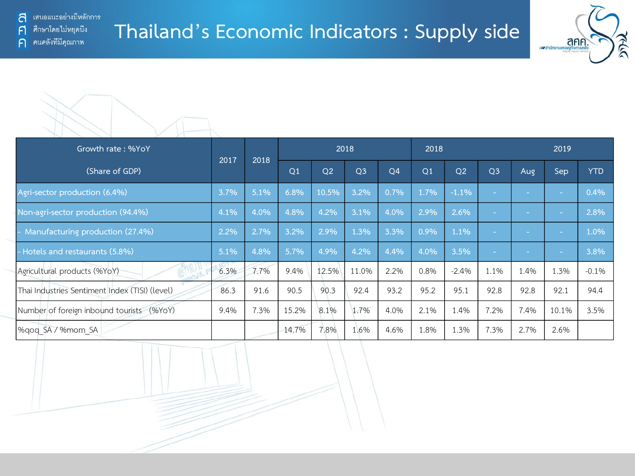



| Growth rate: %YoY                              | 2017 | 2018 |       |                | 2018           |      | 2018 |                |                | 2019   |        |            |
|------------------------------------------------|------|------|-------|----------------|----------------|------|------|----------------|----------------|--------|--------|------------|
| (Share of GDP)                                 |      |      | Q1    | Q <sub>2</sub> | Q <sub>3</sub> | Q4   | Q1   | Q <sub>2</sub> | Q <sub>3</sub> | Aug    | Sep    | <b>YTD</b> |
| Agri-sector production (6.4%)                  | 3.7% | 5.1% | 6.8%  | 10.5%          | 3.2%           | 0.7% | 1.7% | $-1.1%$        |                | $\sim$ | $\sim$ | 0.4%       |
| Non-agri-sector production (94.4%)             | 4.1% | 4.0% | 4.8%  | 4.2%           | 3.1%           | 4.0% | 2.9% | 2.6%           |                |        | $\sim$ | 2.8%       |
| Manufacturing production (27.4%)               | 2.2% | 2.7% | 3.2%  | 2.9%           | 1.3%           | 3.3% | 0.9% | 1.1%           |                |        | $\sim$ | 1.0%       |
| - Hotels and restaurants (5.8%)                | 5.1% | 4.8% | 5.7%  | 4.9%           | 4.2%           | 4.4% | 4.0% | 3.5%           |                | $\sim$ | $\sim$ | 3.8%       |
| Agricultural products (%YoY)                   | 6.3% | 7.7% | 9.4%  | 12.5%          | 11.0%          | 2.2% | 0.8% | $-2.4%$        | 1.1%           | 1.4%   | 1.3%   | $-0.1%$    |
| Thai Industries Sentiment Index (TISI) (level) | 86.3 | 91.6 | 90.5  | 90.3           | 92.4           | 93.2 | 95.2 | 95.1           | 92.8           | 92.8   | 92.1   | 94.4       |
| Number of foreign inbound tourists (%YoY)      | 9.4% | 7.3% | 15.2% | 8.1%           | 1.7%           | 4.0% | 2.1% | 1.4%           | 7.2%           | 7.4%   | 10.1%  | 3.5%       |
| %gog SA / %mom SA                              |      |      | 14.7% | 7.8%           | 1.6%           | 4.6% | 1.8% | 1.3%           | 7.3%           | 2.7%   | 2.6%   |            |